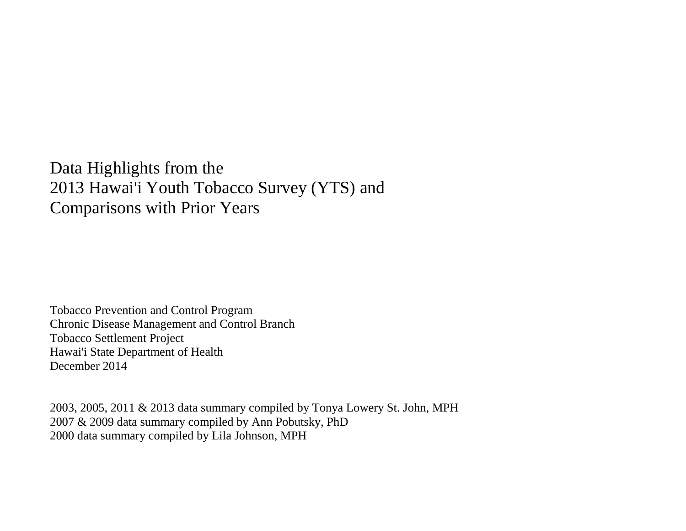Data Highlights from the 2013 Hawai'i Youth Tobacco Survey (YTS) and Comparisons with Prior Years

Tobacco Prevention and Control Program Chronic Disease Management and Control Branch Tobacco Settlement Project Hawai'i State Department of Health December 2014

2003, 2005, 2011 & 2013 data summary compiled by Tonya Lowery St. John, MPH 2007 & 2009 data summary compiled by Ann Pobutsky, PhD 2000 data summary compiled by Lila Johnson, MPH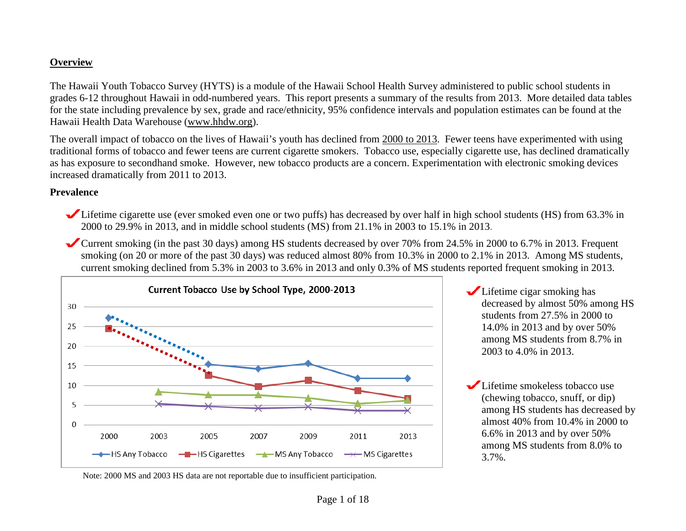### **Overview**

The Hawaii Youth Tobacco Survey (HYTS) is a module of the Hawaii School Health Survey administered to public school students in grades 6-12 throughout Hawaii in odd-numbered years. This report presents a summary of the results from 2013. More detailed data tables for the state including prevalence by sex, grade and race/ethnicity, 95% confidence intervals and population estimates can be found at the Hawaii Health Data Warehouse [\(www.hhdw.org\)](http://www.hhdw.org/).

The overall impact of tobacco on the lives of Hawaii's youth has declined from 2000 to 2013. Fewer teens have experimented with using traditional forms of tobacco and fewer teens are current cigarette smokers. Tobacco use, especially cigarette use, has declined dramatically as has exposure to secondhand smoke. However, new tobacco products are a concern. Experimentation with electronic smoking devices increased dramatically from 2011 to 2013.

#### **Prevalence**

- Lifetime cigarette use (ever smoked even one or two puffs) has decreased by over half in high school students (HS) from 63.3% in 2000 to 29.9% in 2013, and in middle school students (MS) from 21.1% in 2003 to 15.1% in 2013.
- Current smoking (in the past 30 days) among HS students decreased by over 70% from 24.5% in 2000 to 6.7% in 2013. Frequent smoking (on 20 or more of the past 30 days) was reduced almost 80% from 10.3% in 2000 to 2.1% in 2013. Among MS students, current smoking declined from 5.3% in 2003 to 3.6% in 2013 and only 0.3% of MS students reported frequent smoking in 2013.



Lifetime cigar smoking has decreased by almost 50% among HS students from 27.5% in 2000 to 14.0% in 2013 and by over 50% among MS students from 8.7% in 2003 to 4.0% in 2013.

Lifetime smokeless tobacco use (chewing tobacco, snuff, or dip) among HS students has decreased by almost 40% from 10.4% in 2000 to 6.6% in 2013 and by over 50% among MS students from 8.0% to 3.7%.

Note: 2000 MS and 2003 HS data are not reportable due to insufficient participation.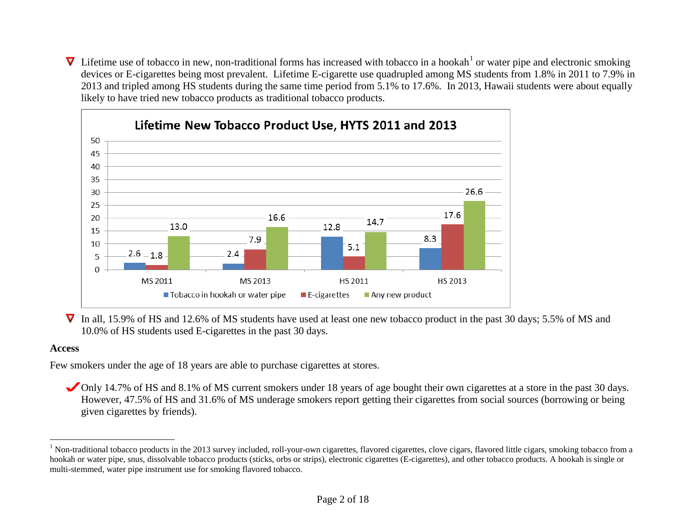<span id="page-2-0"></span> $\nabla$  Lifetime use of tobacco in new, non-traditional forms has increased with tobacco in a hookah<sup>[1](#page-2-0)</sup> or water pipe and electronic smoking devices or E-cigarettes being most prevalent. Lifetime E-cigarette use quadrupled among MS students from 1.8% in 2011 to 7.9% in 2013 and tripled among HS students during the same time period from 5.1% to 17.6%. In 2013, Hawaii students were about equally likely to have tried new tobacco products as traditional tobacco products.



▼ In all, 15.9% of HS and 12.6% of MS students have used at least one new tobacco product in the past 30 days; 5.5% of MS and 10.0% of HS students used E-cigarettes in the past 30 days.

### **Access**

Few smokers under the age of 18 years are able to purchase cigarettes at stores.

Only 14.7% of HS and 8.1% of MS current smokers under 18 years of age bought their own cigarettes at a store in the past 30 days. However, 47.5% of HS and 31.6% of MS underage smokers report getting their cigarettes from social sources (borrowing or being given cigarettes by friends).

<sup>&</sup>lt;sup>1</sup> Non-traditional tobacco products in the 2013 survey included, roll-your-own cigarettes, flavored cigarettes, clove cigars, flavored little cigars, smoking tobacco from a hookah or water pipe, snus, dissolvable tobacco products (sticks, orbs or strips), electronic cigarettes (E-cigarettes), and other tobacco products. A hookah is single or multi-stemmed, water pipe instrument use for smoking flavored tobacco.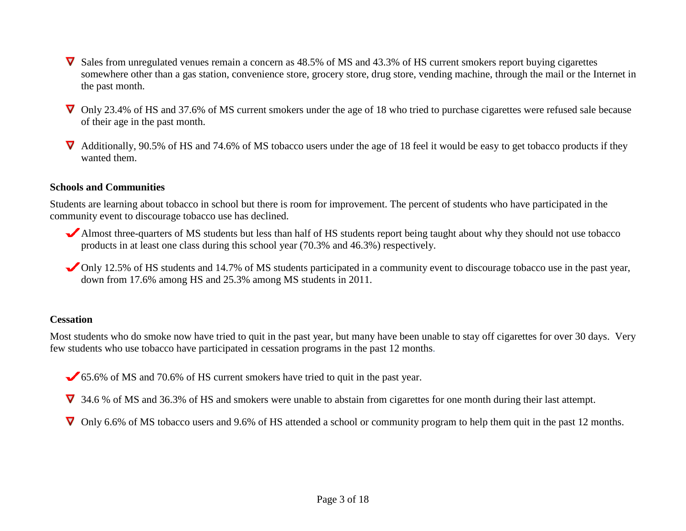- $\nabla$  Sales from unregulated venues remain a concern as 48.5% of MS and 43.3% of HS current smokers report buying cigarettes somewhere other than a gas station, convenience store, grocery store, drug store, vending machine, through the mail or the Internet in the past month.
- ▼ Only 23.4% of HS and 37.6% of MS current smokers under the age of 18 who tried to purchase cigarettes were refused sale because of their age in the past month.
- $\nabla$  Additionally, 90.5% of HS and 74.6% of MS tobacco users under the age of 18 feel it would be easy to get tobacco products if they wanted them.

### **Schools and Communities**

Students are learning about tobacco in school but there is room for improvement. The percent of students who have participated in the community event to discourage tobacco use has declined.

- Almost three-quarters of MS students but less than half of HS students report being taught about why they should not use tobacco products in at least one class during this school year (70.3% and 46.3%) respectively.
- Only 12.5% of HS students and 14.7% of MS students participated in a community event to discourage tobacco use in the past year, down from 17.6% among HS and 25.3% among MS students in 2011.

### **Cessation**

Most students who do smoke now have tried to quit in the past year, but many have been unable to stay off cigarettes for over 30 days. Very few students who use tobacco have participated in cessation programs in the past 12 months.

- 65.6% of MS and 70.6% of HS current smokers have tried to quit in the past year.
- 34.6 % of MS and 36.3% of HS and smokers were unable to abstain from cigarettes for one month during their last attempt.
- $\nabla$  Only 6.6% of MS tobacco users and 9.6% of HS attended a school or community program to help them quit in the past 12 months.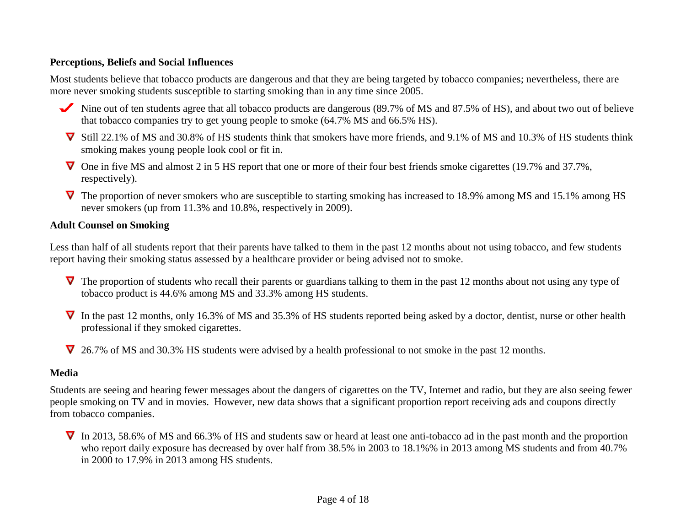### **Perceptions, Beliefs and Social Influences**

Most students believe that tobacco products are dangerous and that they are being targeted by tobacco companies; nevertheless, there are more never smoking students susceptible to starting smoking than in any time since 2005.

- Nine out of ten students agree that all tobacco products are dangerous (89.7% of MS and 87.5% of HS), and about two out of believe that tobacco companies try to get young people to smoke (64.7% MS and 66.5% HS).
- Still 22.1% of MS and 30.8% of HS students think that smokers have more friends, and 9.1% of MS and 10.3% of HS students think smoking makes young people look cool or fit in.
- One in five MS and almost 2 in 5 HS report that one or more of their four best friends smoke cigarettes (19.7% and 37.7%, respectively).
- $\nabla$  The proportion of never smokers who are susceptible to starting smoking has increased to 18.9% among MS and 15.1% among HS never smokers (up from 11.3% and 10.8%, respectively in 2009).

### **Adult Counsel on Smoking**

Less than half of all students report that their parents have talked to them in the past 12 months about not using tobacco, and few students report having their smoking status assessed by a healthcare provider or being advised not to smoke.

- $\nabla$  The proportion of students who recall their parents or guardians talking to them in the past 12 months about not using any type of tobacco product is 44.6% among MS and 33.3% among HS students.
- $\nabla$  In the past 12 months, only 16.3% of MS and 35.3% of HS students reported being asked by a doctor, dentist, nurse or other health professional if they smoked cigarettes.
- 26.7% of MS and 30.3% HS students were advised by a health professional to not smoke in the past 12 months.

## **Media**

Students are seeing and hearing fewer messages about the dangers of cigarettes on the TV, Internet and radio, but they are also seeing fewer people smoking on TV and in movies. However, new data shows that a significant proportion report receiving ads and coupons directly from tobacco companies.

 $\nabla$  In 2013, 58.6% of MS and 66.3% of HS and students saw or heard at least one anti-tobacco ad in the past month and the proportion who report daily exposure has decreased by over half from 38.5% in 2003 to 18.1%% in 2013 among MS students and from 40.7% in 2000 to 17.9% in 2013 among HS students.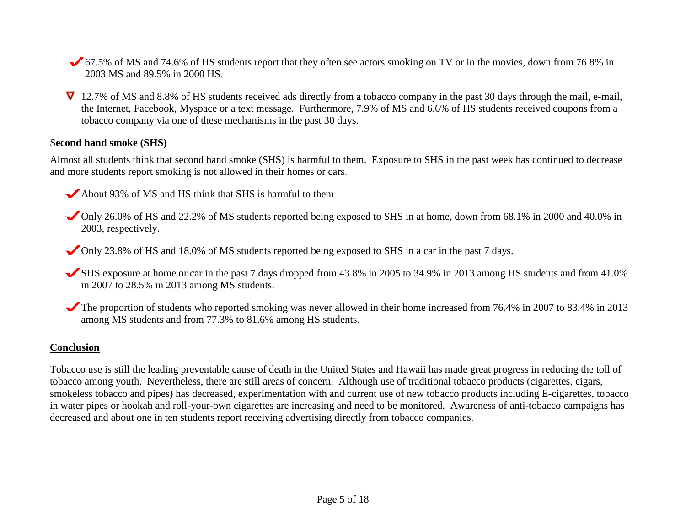67.5% of MS and 74.6% of HS students report that they often see actors smoking on TV or in the movies, down from 76.8% in 2003 MS and 89.5% in 2000 HS.

▼ 12.7% of MS and 8.8% of HS students received ads directly from a tobacco company in the past 30 days through the mail, e-mail, the Internet, Facebook, Myspace or a text message. Furthermore, 7.9% of MS and 6.6% of HS students received coupons from a tobacco company via one of these mechanisms in the past 30 days.

#### S**econd hand smoke (SHS)**

Almost all students think that second hand smoke (SHS) is harmful to them. Exposure to SHS in the past week has continued to decrease and more students report smoking is not allowed in their homes or cars.

About 93% of MS and HS think that SHS is harmful to them

Only 26.0% of HS and 22.2% of MS students reported being exposed to SHS in at home, down from 68.1% in 2000 and 40.0% in 2003, respectively.

Only 23.8% of HS and 18.0% of MS students reported being exposed to SHS in a car in the past 7 days.

- SHS exposure at home or car in the past 7 days dropped from 43.8% in 2005 to 34.9% in 2013 among HS students and from 41.0% in 2007 to 28.5% in 2013 among MS students.
- The proportion of students who reported smoking was never allowed in their home increased from 76.4% in 2007 to 83.4% in 2013 among MS students and from 77.3% to 81.6% among HS students.

#### **Conclusion**

Tobacco use is still the leading preventable cause of death in the United States and Hawaii has made great progress in reducing the toll of tobacco among youth. Nevertheless, there are still areas of concern. Although use of traditional tobacco products (cigarettes, cigars, smokeless tobacco and pipes) has decreased, experimentation with and current use of new tobacco products including E-cigarettes, tobacco in water pipes or hookah and roll-your-own cigarettes are increasing and need to be monitored. Awareness of anti-tobacco campaigns has decreased and about one in ten students report receiving advertising directly from tobacco companies.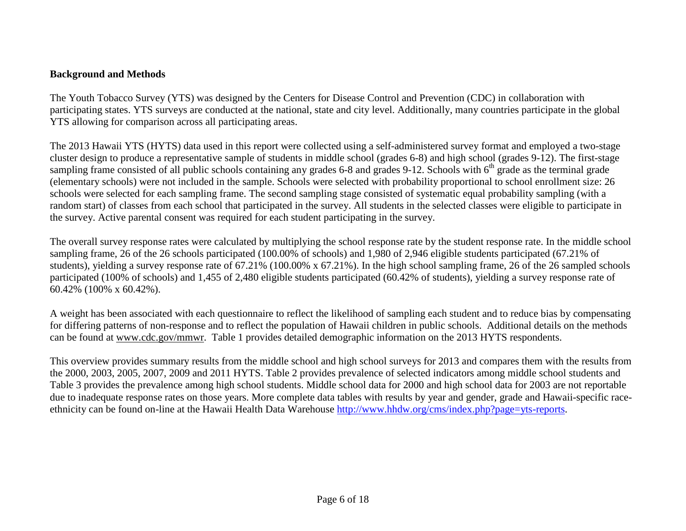### **Background and Methods**

The Youth Tobacco Survey (YTS) was designed by the Centers for Disease Control and Prevention (CDC) in collaboration with participating states. YTS surveys are conducted at the national, state and city level. Additionally, many countries participate in the global YTS allowing for comparison across all participating areas.

The 2013 Hawaii YTS (HYTS) data used in this report were collected using a self-administered survey format and employed a two-stage cluster design to produce a representative sample of students in middle school (grades 6-8) and high school (grades 9-12). The first-stage sampling frame consisted of all public schools containing any grades 6-8 and grades 9-12. Schools with  $6<sup>th</sup>$  grade as the terminal grade (elementary schools) were not included in the sample. Schools were selected with probability proportional to school enrollment size: 26 schools were selected for each sampling frame. The second sampling stage consisted of systematic equal probability sampling (with a random start) of classes from each school that participated in the survey. All students in the selected classes were eligible to participate in the survey. Active parental consent was required for each student participating in the survey.

The overall survey response rates were calculated by multiplying the school response rate by the student response rate. In the middle school sampling frame, 26 of the 26 schools participated (100.00% of schools) and 1,980 of 2,946 eligible students participated (67.21% of students), yielding a survey response rate of 67.21% (100.00% x 67.21%). In the high school sampling frame, 26 of the 26 sampled schools participated (100% of schools) and 1,455 of 2,480 eligible students participated (60.42% of students), yielding a survey response rate of 60.42% (100% x 60.42%).

A weight has been associated with each questionnaire to reflect the likelihood of sampling each student and to reduce bias by compensating for differing patterns of non-response and to reflect the population of Hawaii children in public schools. Additional details on the methods can be found at [www.cdc.gov/mmwr.](http://www.cdc.gov/mmwr/PDF/ss/ss5004.pdf) Table 1 provides detailed demographic information on the 2013 HYTS respondents.

This overview provides summary results from the middle school and high school surveys for 2013 and compares them with the results from the 2000, 2003, 2005, 2007, 2009 and 2011 HYTS. Table 2 provides prevalence of selected indicators among middle school students and Table 3 provides the prevalence among high school students. Middle school data for 2000 and high school data for 2003 are not reportable due to inadequate response rates on those years. More complete data tables with results by year and gender, grade and Hawaii-specific raceethnicity can be found on-line at the Hawaii Health Data Warehouse [http://www.hhdw.org/cms/index.php?page=yts-reports.](http://www.hhdw.org/cms/index.php?page=yts-reports)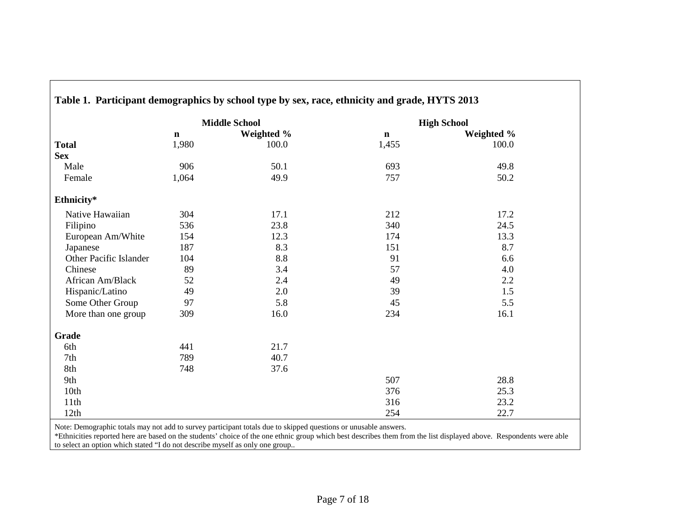|                        |             | <b>Middle School</b> |             | <b>High School</b> |  |
|------------------------|-------------|----------------------|-------------|--------------------|--|
|                        | $\mathbf n$ | Weighted %           | $\mathbf n$ | Weighted %         |  |
| <b>Total</b>           | 1,980       | 100.0                | 1,455       | 100.0              |  |
| <b>Sex</b>             |             |                      |             |                    |  |
| Male                   | 906         | 50.1                 | 693         | 49.8               |  |
| Female                 | 1,064       | 49.9                 | 757         | 50.2               |  |
| Ethnicity*             |             |                      |             |                    |  |
| Native Hawaiian        | 304         | 17.1                 | 212         | 17.2               |  |
| Filipino               | 536         | 23.8                 | 340         | 24.5               |  |
| European Am/White      | 154         | 12.3                 | 174         | 13.3               |  |
| Japanese               | 187         | 8.3                  | 151         | 8.7                |  |
| Other Pacific Islander | 104         | 8.8                  | 91          | 6.6                |  |
| Chinese                | 89          | 3.4                  | 57          | 4.0                |  |
| African Am/Black       | 52          | 2.4                  | 49          | 2.2                |  |
| Hispanic/Latino        | 49          | 2.0                  | 39          | 1.5                |  |
| Some Other Group       | 97          | 5.8                  | 45          | 5.5                |  |
| More than one group    | 309         | 16.0                 | 234         | 16.1               |  |
| Grade                  |             |                      |             |                    |  |
| 6th                    | 441         | 21.7                 |             |                    |  |
| 7th                    | 789         | 40.7                 |             |                    |  |
| 8th                    | 748         | 37.6                 |             |                    |  |
| 9th                    |             |                      | 507         | 28.8               |  |
| 10th                   |             |                      | 376         | 25.3               |  |
| 11th                   |             |                      | 316         | 23.2               |  |
| 12th                   |             |                      | 254         | 22.7               |  |

# **Table 1. Participant demographics by school type by sex, race, ethnicity and grade, HYTS 2013**

Note: Demographic totals may not add to survey participant totals due to skipped questions or unusable answers.

\*Ethnicities reported here are based on the students' choice of the one ethnic group which best describes them from the list displayed above. Respondents were able to select an option which stated "I do not describe myself as only one group..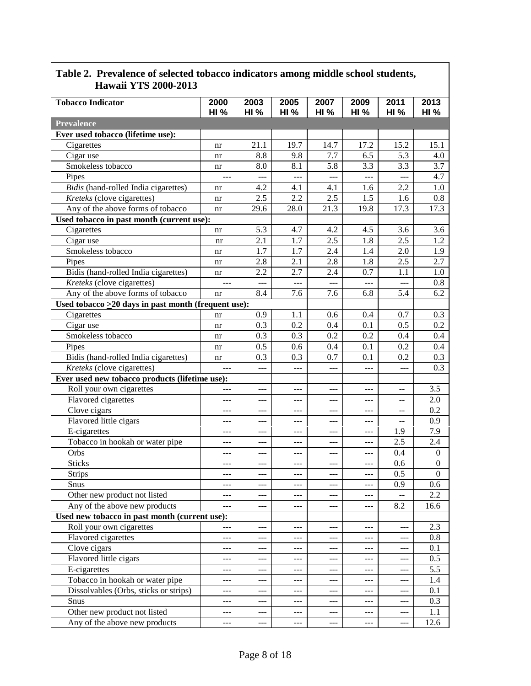| 11awali 1 1.5 4000-401 <i>3</i>                     |                     |                     |                     |             |                     |                     |                     |  |  |
|-----------------------------------------------------|---------------------|---------------------|---------------------|-------------|---------------------|---------------------|---------------------|--|--|
| <b>Tobacco Indicator</b>                            | 2000<br><b>HI %</b> | 2003<br><b>HI %</b> | 2005<br><b>HI %</b> | 2007<br>HI% | 2009<br><b>HI %</b> | 2011<br><b>HI %</b> | 2013<br><b>HI %</b> |  |  |
| <b>Prevalence</b>                                   |                     |                     |                     |             |                     |                     |                     |  |  |
| Ever used tobacco (lifetime use):                   |                     |                     |                     |             |                     |                     |                     |  |  |
| Cigarettes                                          | nr                  | 21.1                | 19.7                | 14.7        | 17.2                | 15.2                | 15.1                |  |  |
| Cigar use                                           | nr                  | 8.8                 | 9.8                 | 7.7         | 6.5                 | 5.3                 | 4.0                 |  |  |
| Smokeless tobacco                                   | nr                  | 8.0                 | 8.1                 | 5.8         | 3.3                 | 3.3                 | 3.7                 |  |  |
| Pipes                                               | $\overline{a}$      | $---$               | $\frac{1}{2}$       | $ -$        | $- - -$             | $\overline{a}$      | 4.7                 |  |  |
| Bidis (hand-rolled India cigarettes)                | nr                  | 4.2                 | 4.1                 | 4.1         | 1.6                 | 2.2                 | 1.0                 |  |  |
| Kreteks (clove cigarettes)                          | nr                  | 2.5                 | 2.2                 | 2.5         | 1.5                 | 1.6                 | 0.8                 |  |  |
| Any of the above forms of tobacco                   | nr                  | 29.6                | 28.0                | 21.3        | 19.8                | 17.3                | 17.3                |  |  |
| Used tobacco in past month (current use):           |                     |                     |                     |             |                     |                     |                     |  |  |
| Cigarettes                                          | nr                  | 5.3                 | 4.7                 | 4.2         | 4.5                 | 3.6                 | 3.6                 |  |  |
| Cigar use                                           | nr                  | 2.1                 | 1.7                 | 2.5         | 1.8                 | 2.5                 | 1.2                 |  |  |
| Smokeless tobacco                                   | nr                  | 1.7                 | 1.7                 | 2.4         | 1.4                 | 2.0                 | 1.9                 |  |  |
| Pipes                                               | nr                  | 2.8                 | 2.1                 | 2.8         | 1.8                 | 2.5                 | 2.7                 |  |  |
| Bidis (hand-rolled India cigarettes)                | nr                  | 2.2                 | 2.7                 | 2.4         | 0.7                 | 1.1                 | 1.0                 |  |  |
| Kreteks (clove cigarettes)                          | $---$               | $\overline{a}$      | $---$               | ---         | $---$               | $---$               | 0.8                 |  |  |
| Any of the above forms of tobacco                   | nr                  | 8.4                 | 7.6                 | 7.6         | 6.8                 | 5.4                 | 6.2                 |  |  |
| Used tobacco >20 days in past month (frequent use): |                     |                     |                     |             |                     |                     |                     |  |  |
| Cigarettes                                          | nr                  | 0.9                 | 1.1                 | 0.6         | 0.4                 | 0.7                 | 0.3                 |  |  |
| Cigar use                                           | nr                  | 0.3                 | 0.2                 | 0.4         | 0.1                 | 0.5                 | 0.2                 |  |  |
| Smokeless tobacco                                   | nr                  | 0.3                 | 0.3                 | 0.2         | 0.2                 | 0.4                 | 0.4                 |  |  |
| Pipes                                               | nr                  | 0.5                 | 0.6                 | 0.4         | 0.1                 | 0.2                 | 0.4                 |  |  |
| Bidis (hand-rolled India cigarettes)                | nr                  | 0.3                 | 0.3                 | 0.7         | 0.1                 | 0.2                 | 0.3                 |  |  |
| Kreteks (clove cigarettes)                          |                     | $---$               | ---                 | $---$       | $---$               | ---                 | 0.3                 |  |  |
| Ever used new tobacco products (lifetime use):      |                     |                     |                     |             |                     |                     |                     |  |  |
| Roll your own cigarettes                            | $---$               | ---                 | $---$               | $---$       | $---$               | --                  | 3.5                 |  |  |
| Flavored cigarettes                                 | $---$               | $ -$                | ---                 | $---$       | $---$               | --                  | 2.0                 |  |  |
| Clove cigars                                        | ---                 | $ -$                | $---$               | ---         | $---$               | --                  | 0.2                 |  |  |
| Flavored little cigars                              | $---$               | $ -$                | $---$               | ---         | ---                 | --                  | 0.9                 |  |  |
| E-cigarettes                                        | $---$               | $---$               | $ -$                | $---$       | $---$               | 1.9                 | 7.9                 |  |  |
| Tobacco in hookah or water pipe                     | $---$               | $---$               | $---$               | $---$       | ---                 | 2.5                 | 2.4                 |  |  |
| Orbs                                                | ---                 | $---$               | ---                 | $---$       | $---$               | 0.4                 | $\theta$            |  |  |
| <b>Sticks</b>                                       | $- - -$             | $---$               | ---                 | $---$       | $---$               | 0.6                 | $\boldsymbol{0}$    |  |  |
| Strips                                              |                     |                     |                     |             |                     | 0.5                 | $\boldsymbol{0}$    |  |  |
| Snus                                                | $---$               | $\qquad \qquad - -$ | ---                 | $---$       | $---$               | 0.9                 | 0.6                 |  |  |
| Other new product not listed                        | ---                 |                     |                     | ---         |                     |                     | 2.2                 |  |  |
| Any of the above new products                       | ---                 | $---$               | ---                 | $---$       | ---                 | 8.2                 | 16.6                |  |  |
| Used new tobacco in past month (current use):       |                     |                     |                     |             |                     |                     |                     |  |  |
| Roll your own cigarettes                            | $ -$                | $---$               | ---                 | $---$       | $---$               | $---$               | 2.3                 |  |  |
| Flavored cigarettes                                 | $---$               | $ -$                | ---                 | $---$       | $---$               | $---$               | 0.8                 |  |  |
| Clove cigars                                        | $---$               | $ -$                | ---                 | ---         | $---$               | ---                 | 0.1                 |  |  |
| Flavored little cigars                              | $---$               | ---                 |                     | $---$       | $---$               |                     | 0.5                 |  |  |
| E-cigarettes                                        | $---$               | $---$               | ---                 | $---$       | $---$               | ---                 | 5.5                 |  |  |
| Tobacco in hookah or water pipe                     | $---$               | ---                 | ---                 | ---         | ---                 | ---                 | 1.4                 |  |  |
| Dissolvables (Orbs, sticks or strips)               | $---$               | $---$               | $---$               | ---         | ---                 | ---                 | 0.1                 |  |  |
| Snus                                                | ---                 | $---$               | ---                 | $---$       | $---$               | ---                 | 0.3                 |  |  |
| Other new product not listed                        | $---$               | $---$               | ---                 | ---         | $---$               | ---                 | 1.1                 |  |  |
| Any of the above new products                       | $---$               | $---$               | ---                 | ---         | $---$               | ---                 | 12.6                |  |  |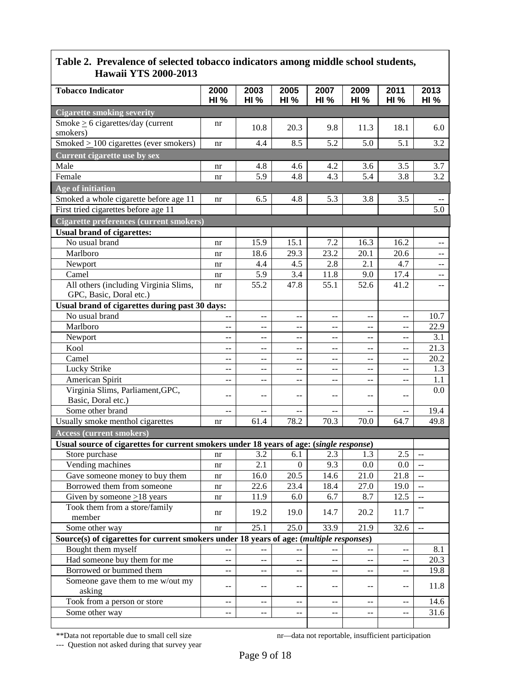| Hawaii 1 I 5 2000-2015                                                                  |                                           |                     |                     |                                               |                     |                                               |                                               |  |  |
|-----------------------------------------------------------------------------------------|-------------------------------------------|---------------------|---------------------|-----------------------------------------------|---------------------|-----------------------------------------------|-----------------------------------------------|--|--|
| <b>Tobacco Indicator</b>                                                                | 2000<br><b>HI %</b>                       | 2003<br><b>HI %</b> | 2005<br><b>HI %</b> | 2007<br><b>HI %</b>                           | 2009<br><b>HI %</b> | 2011<br><b>HI %</b>                           | 2013<br><b>HI %</b>                           |  |  |
| <b>Cigarette smoking severity</b>                                                       |                                           |                     |                     |                                               |                     |                                               |                                               |  |  |
| Smoke $\geq 6$ cigarettes/day (current<br>smokers)                                      | nr                                        | 10.8                | 20.3                | 9.8                                           | 11.3                | 18.1                                          | 6.0                                           |  |  |
| Smoked $\geq$ 100 cigarettes (ever smokers)                                             | nr                                        | 4.4                 | 8.5                 | 5.2                                           | 5.0                 | 5.1                                           | 3.2                                           |  |  |
| <b>Current cigarette use by sex</b>                                                     |                                           |                     |                     |                                               |                     |                                               |                                               |  |  |
| Male                                                                                    | nr                                        | 4.8                 | 4.6                 | 4.2                                           | 3.6                 | 3.5                                           | 3.7                                           |  |  |
| Female                                                                                  | nr                                        | 5.9                 | 4.8                 | 4.3                                           | 5.4                 | 3.8                                           | 3.2                                           |  |  |
| Age of initiation                                                                       |                                           |                     |                     |                                               |                     |                                               |                                               |  |  |
| Smoked a whole cigarette before age 11                                                  |                                           |                     |                     |                                               |                     |                                               |                                               |  |  |
|                                                                                         | nr                                        | 6.5                 | 4.8                 | 5.3                                           | 3.8                 | 3.5                                           | 5.0                                           |  |  |
| First tried cigarettes before age 11                                                    |                                           |                     |                     |                                               |                     |                                               |                                               |  |  |
| <b>Cigarette preferences (current smokers)</b>                                          |                                           |                     |                     |                                               |                     |                                               |                                               |  |  |
| <b>Usual brand of cigarettes:</b>                                                       |                                           |                     |                     |                                               |                     |                                               |                                               |  |  |
| No usual brand                                                                          | nr                                        | 15.9                | 15.1                | 7.2                                           | 16.3                | 16.2                                          | $\hspace{0.05cm}$ – $\hspace{0.05cm}$         |  |  |
| Marlboro                                                                                | nr                                        | 18.6                | 29.3                | 23.2                                          | 20.1                | $\overline{20.6}$                             | $\sim$ $\sim$                                 |  |  |
| Newport                                                                                 | nr                                        | 4.4                 | 4.5                 | 2.8                                           | 2.1                 | 4.7                                           | $-$                                           |  |  |
| Camel                                                                                   | nr                                        | 5.9                 | 3.4                 | 11.8                                          | 9.0                 | 17.4                                          | $-$                                           |  |  |
| All others (including Virginia Slims,<br>GPC, Basic, Doral etc.)                        | nr                                        | 55.2                | 47.8                | 55.1                                          | 52.6                | 41.2                                          | $-$                                           |  |  |
| Usual brand of cigarettes during past 30 days:                                          |                                           |                     |                     |                                               |                     |                                               |                                               |  |  |
| No usual brand                                                                          |                                           | $-$                 | $-$                 | $-$                                           | $-$                 | $-$                                           | 10.7                                          |  |  |
| Marlboro                                                                                | $-$                                       |                     |                     | $-$                                           | --                  | --                                            | 22.9                                          |  |  |
| Newport                                                                                 | $\mathrel{{-}\mathrel{{-}}\mathrel{{-}}}$ | --                  | --                  | --                                            | --                  | $-$                                           | 3.1                                           |  |  |
| Kool                                                                                    | $\overline{a}$                            | $-$                 | --                  | $\mathord{\hspace{1pt}\text{--}\hspace{1pt}}$ | --                  | $-$                                           | 21.3                                          |  |  |
| Camel                                                                                   | $-$                                       | --                  | --                  | $-$                                           | --                  | $-$                                           | 20.2                                          |  |  |
| Lucky Strike                                                                            | $-$                                       | --                  | --                  | $-$                                           | --                  | $-$                                           | 1.3                                           |  |  |
| American Spirit                                                                         | $-$                                       | $-$                 | --                  | $-$                                           | --                  | $-$                                           | 1.1                                           |  |  |
| Virginia Slims, Parliament, GPC,<br>Basic, Doral etc.)                                  | --                                        |                     | --                  | --                                            | --                  | --                                            | 0.0                                           |  |  |
| Some other brand                                                                        | $\overline{a}$                            | $- -$               | --                  | $\mathbf{u}$                                  | --                  |                                               | 19.4                                          |  |  |
| Usually smoke menthol cigarettes                                                        | nr                                        | 61.4                | 78.2                | 70.3                                          | 70.0                | 64.7                                          | 49.8                                          |  |  |
| <b>Access (current smokers)</b>                                                         |                                           |                     |                     |                                               |                     |                                               |                                               |  |  |
| Usual source of cigarettes for current smokers under 18 years of age: (single response) |                                           |                     |                     |                                               |                     |                                               |                                               |  |  |
| Store purchase                                                                          | nr                                        | 3.2                 | 6.1                 | 2.3                                           | 1.3                 | 2.5                                           | $\mathbb{H}^{\mathbb{Z}}$                     |  |  |
| Vending machines                                                                        | nr                                        | 2.1                 | $\mathbf{0}$        | 9.3                                           | 0.0                 | 0.0                                           | $\overline{\phantom{a}}$                      |  |  |
| Gave someone money to buy them                                                          | nr                                        | 16.0                | 20.5                | 14.6                                          | 21.0                | 21.8                                          | $\overline{\phantom{a}}$                      |  |  |
| Borrowed them from someone                                                              | nr                                        | 22.6                | 23.4                | 18.4                                          | 27.0                | 19.0                                          | $\mathord{\hspace{1pt}\text{--}\hspace{1pt}}$ |  |  |
| Given by someone $\geq$ 18 years                                                        | nr                                        | 11.9                | 6.0                 | 6.7                                           | 8.7                 | 12.5                                          | $\mathord{\hspace{1pt}\text{--}\hspace{1pt}}$ |  |  |
| Took them from a store/family<br>member                                                 | nr                                        | 19.2                | 19.0                | 14.7                                          | 20.2                | 11.7                                          | --                                            |  |  |
| Some other way                                                                          | nr                                        | 25.1                | 25.0                | 33.9                                          | 21.9                | 32.6                                          | $\mathbf{u}$                                  |  |  |
| Source(s) of cigarettes for current smokers under 18 years of age: (multiple responses) |                                           |                     |                     |                                               |                     |                                               |                                               |  |  |
| Bought them myself                                                                      |                                           |                     |                     |                                               | --                  | $\mathord{\hspace{1pt}\text{--}\hspace{1pt}}$ | 8.1                                           |  |  |
| Had someone buy them for me                                                             | $-$                                       | --                  | --                  | --                                            | --                  | $- -$                                         | $\overline{2}0.3$                             |  |  |
| Borrowed or bummed them                                                                 |                                           |                     | $-$                 | --                                            |                     | --                                            | 19.8                                          |  |  |
| Someone gave them to me w/out my<br>asking                                              | --                                        | --                  | $-$                 | $ -$                                          | --                  | $-$                                           | 11.8                                          |  |  |
| Took from a person or store                                                             | --                                        | --                  | $-$                 | --                                            | --                  | $-$                                           | 14.6                                          |  |  |
| Some other way                                                                          | $-$                                       | $-$                 | $-$                 | $\mathord{\hspace{1pt}\text{--}\hspace{1pt}}$ | --                  | --                                            | 31.6                                          |  |  |
|                                                                                         |                                           |                     |                     |                                               |                     |                                               |                                               |  |  |
|                                                                                         |                                           |                     |                     |                                               |                     |                                               |                                               |  |  |

--- Question not asked during that survey year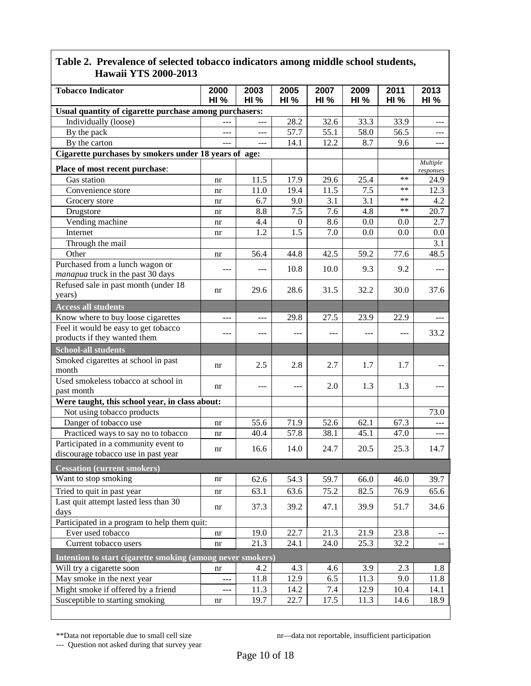| <b>Tobacco Indicator</b>                                   | 2000<br><b>HI %</b> | 2003<br><b>HI %</b> | 2005<br><b>HI %</b> | 2007<br>HI% | 2009<br>HI% | 2011<br>HI% | 2013<br><b>HI %</b>   |
|------------------------------------------------------------|---------------------|---------------------|---------------------|-------------|-------------|-------------|-----------------------|
| Usual quantity of cigarette purchase among purchasers:     |                     |                     |                     |             |             |             |                       |
| Individually (loose)                                       |                     | ---                 | 28.2                | 32.6        | 33.3        | 33.9        | $---$                 |
| By the pack                                                | ---                 | $---$               | 57.7                | 55.1        | 58.0        | 56.5        | $\frac{1}{2}$         |
| By the carton                                              | $---$               | $---$               | 14.1                | 12.2        | 8.7         | 9.6         | $---$                 |
| Cigarette purchases by smokers under 18 years of age:      |                     |                     |                     |             |             |             |                       |
| Place of most recent purchase:                             |                     |                     |                     |             |             |             | Multiple<br>responses |
| Gas station                                                | nr                  | 11.5                | 17.9                | 29.6        | 25.4        | $**$        | 24.9                  |
| Convenience store                                          | nr                  | 11.0                | 19.4                | 11.5        | 7.5         | **          | 12.3                  |
| Grocery store                                              | nr                  | 6.7                 | 9.0                 | 3.1         | 3.1         | **          | 4.2                   |
| Drugstore                                                  | nr                  | 8.8                 | 7.5                 | 7.6         | 4.8         | **          | 20.7                  |
| Vending machine                                            | nr                  | 4.4                 | $\overline{0}$      | 8.6         | 0.0         | 0.0         | 2.7                   |
| Internet                                                   | nr                  | 1.2                 | 1.5                 | 7.0         | 0.0         | 0.0         | 0.0                   |
| Through the mail                                           |                     |                     |                     |             |             |             | 3.1                   |
| Other                                                      | nr                  | 56.4                | 44.8                | 42.5        | 59.2        | 77.6        | 48.5                  |
| Purchased from a lunch wagon or                            |                     | $---$               | 10.8                | 10.0        | 9.3         | 9.2         |                       |
| manapua truck in the past 30 days                          |                     |                     |                     |             |             |             |                       |
| Refused sale in past month (under 18                       | nr                  | 29.6                | 28.6                | 31.5        | 32.2        | 30.0        | 37.6                  |
| years)                                                     |                     |                     |                     |             |             |             |                       |
| <b>Access all students</b>                                 |                     |                     |                     |             |             |             |                       |
| Know where to buy loose cigarettes                         |                     |                     | 29.8                | 27.5        | 23.9        | 22.9        |                       |
| Feel it would be easy to get tobacco                       | ---                 | $---$               | ---                 | $---$       | ---         | ---         | 33.2                  |
| products if they wanted them                               |                     |                     |                     |             |             |             |                       |
| <b>School-all students</b>                                 |                     |                     |                     |             |             |             |                       |
| Smoked cigarettes at school in past                        | nr                  | 2.5                 | 2.8                 | 2.7         | 1.7         | 1.7         |                       |
| month<br>Used smokeless tobacco at school in               |                     |                     |                     |             |             |             |                       |
| past month                                                 | nr                  | $---$               | ---                 | 2.0         | 1.3         | 1.3         |                       |
| Were taught, this school year, in class about:             |                     |                     |                     |             |             |             |                       |
| Not using tobacco products                                 |                     |                     |                     |             |             |             | 73.0                  |
| Danger of tobacco use                                      | nr                  | 55.6                | 71.9                | 52.6        | 62.1        | 67.3        | $---$                 |
| Practiced ways to say no to tobacco                        | nr                  | 40.4                | 57.8                | 38.1        | 45.1        | 47.0        | $---$                 |
| Participated in a community event to                       |                     |                     |                     |             |             |             |                       |
| discourage tobacco use in past year                        | nr                  | 16.6                | 14.0                | 24.7        | 20.5        | 25.3        | 14.7                  |
| Cessation (current smokers)                                |                     |                     |                     |             |             |             |                       |
| Want to stop smoking                                       | nr                  | 62.6                | 54.3                | 59.7        | 66.0        | 46.0        | 39.7                  |
| Tried to quit in past year                                 | nr                  | 63.1                | 63.6                | 75.2        | 82.5        | 76.9        | 65.6                  |
| Last quit attempt lasted less than 30                      |                     |                     |                     |             |             |             |                       |
| days                                                       | nr                  | 37.3                | 39.2                | 47.1        | 39.9        | 51.7        | 34.6                  |
| Participated in a program to help them quit:               |                     |                     |                     |             |             |             |                       |
| Ever used tobacco                                          | nr                  | 19.0                | 22.7                | 21.3        | 21.9        | 23.8        | $--$                  |
| Current tobacco users                                      | nr                  | 21.3                | 24.1                | 24.0        | 25.3        | 32.2        | $- -$                 |
| Intention to start cigarette smoking (among never smokers) |                     |                     |                     |             |             |             |                       |
| Will try a cigarette soon                                  | nr                  | 4.2                 | 4.3                 | 4.6         | 3.9         | 2.3         | 1.8                   |
| May smoke in the next year                                 | ---                 | 11.8                | 12.9                | 6.5         | 11.3        | 9.0         | 11.8                  |
| Might smoke if offered by a friend                         | ---                 | 11.3                | 14.2                | 7.4         | 12.9        | 10.4        | 14.1                  |
| Susceptible to starting smoking                            | nr                  | 19.7                | 22.7                | 17.5        | 11.3        | 14.6        | 18.9                  |
|                                                            |                     |                     |                     |             |             |             |                       |

\*\*Data not reportable due to small cell size<br>--- Question not asked during that survey year

nr—data not reportable, insufficient participation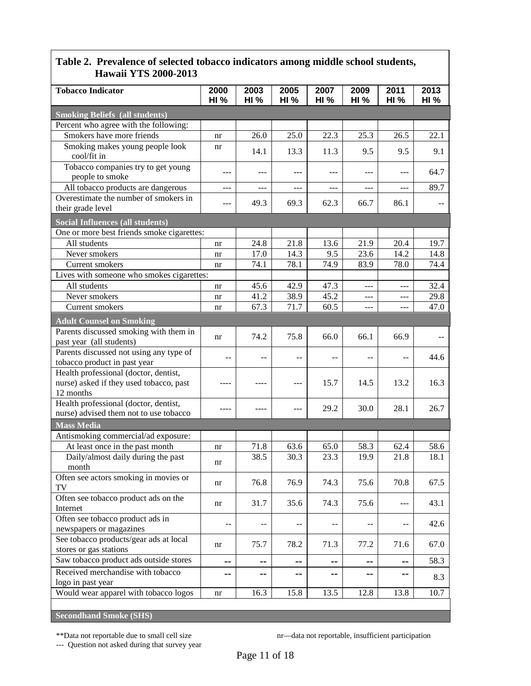| <b>Hawan YIS 2000-2013</b>                                                      |             |       |             |                          |       |             |                |  |
|---------------------------------------------------------------------------------|-------------|-------|-------------|--------------------------|-------|-------------|----------------|--|
| <b>Tobacco Indicator</b>                                                        | 2000        | 2003  | 2005        | 2007                     | 2009  | 2011        | 2013           |  |
|                                                                                 | <b>HI %</b> | HI%   | <b>HI</b> % | HI%                      | HI%   | <b>HI %</b> | <b>HI %</b>    |  |
| <b>Smoking Beliefs (all students)</b>                                           |             |       |             |                          |       |             |                |  |
| Percent who agree with the following:                                           |             |       |             |                          |       |             |                |  |
| Smokers have more friends                                                       | nr          | 26.0  | 25.0        | 22.3                     | 25.3  | 26.5        | 22.1           |  |
| Smoking makes young people look                                                 | nr          | 14.1  | 13.3        |                          | 9.5   | 9.5         | 9.1            |  |
| cool/fit in                                                                     |             |       |             | 11.3                     |       |             |                |  |
| Tobacco companies try to get young                                              | ---         | $---$ | ---         | ---                      | $---$ | $---$       | 64.7           |  |
| people to smoke                                                                 |             |       |             |                          |       |             |                |  |
| All tobacco products are dangerous                                              | ---         | $---$ | ---         | $---$                    | $---$ | ---         | 89.7           |  |
| Overestimate the number of smokers in                                           | ---         | 49.3  | 69.3        | 62.3                     | 66.7  | 86.1        | $\overline{a}$ |  |
| their grade level                                                               |             |       |             |                          |       |             |                |  |
| <b>Social Influences (all students)</b>                                         |             |       |             |                          |       |             |                |  |
| One or more best friends smoke cigarettes:                                      |             |       |             |                          |       |             |                |  |
| All students                                                                    | nr          | 24.8  | 21.8        | 13.6                     | 21.9  | 20.4        | 19.7           |  |
| Never smokers                                                                   | nr          | 17.0  | 14.3        | 9.5                      | 23.6  | 14.2        | 14.8           |  |
| Current smokers                                                                 | nr          | 74.1  | 78.1        | 74.9                     | 83.9  | 78.0        | 74.4           |  |
| Lives with someone who smokes cigarettes:                                       |             |       |             |                          |       |             |                |  |
| All students                                                                    | nr          | 45.6  | 42.9        | 47.3                     | ---   | ---         | 32.4           |  |
| Never smokers                                                                   | nr          | 41.2  | 38.9        | 45.2                     | $---$ | ---         | 29.8           |  |
| Current smokers                                                                 | nr          | 67.3  | 71.7        | 60.5                     | ---   | ---         | 47.0           |  |
| <b>Adult Counsel on Smoking</b>                                                 |             |       |             |                          |       |             |                |  |
| Parents discussed smoking with them in                                          |             | 74.2  | 75.8        | 66.0                     | 66.1  | 66.9        |                |  |
| past year (all students)                                                        | nr          |       |             |                          |       |             |                |  |
| Parents discussed not using any type of                                         | --          | --    | --          |                          |       | --          | 44.6           |  |
| tobacco product in past year                                                    |             |       |             |                          |       |             |                |  |
| Health professional (doctor, dentist,                                           |             |       |             |                          |       |             |                |  |
| nurse) asked if they used tobacco, past                                         |             | ----  | ---         | 15.7                     | 14.5  | 13.2        | 16.3           |  |
| 12 months                                                                       |             |       |             |                          |       |             |                |  |
| Health professional (doctor, dentist,<br>nurse) advised them not to use tobacco |             |       | ---         | 29.2                     | 30.0  | 28.1        | 26.7           |  |
|                                                                                 |             |       |             |                          |       |             |                |  |
| <b>Mass Media</b>                                                               |             |       |             |                          |       |             |                |  |
| Antismoking commercial/ad exposure:                                             |             | 71.8  | 63.6        | 65.0                     | 58.3  | 62.4        | 58.6           |  |
| At least once in the past month<br>Daily/almost daily during the past           | nr          | 38.5  | 30.3        | 23.3                     | 19.9  | 21.8        | 18.1           |  |
| month                                                                           | nr          |       |             |                          |       |             |                |  |
| Often see actors smoking in movies or                                           |             |       |             |                          |       |             |                |  |
| TV                                                                              | nr          | 76.8  | 76.9        | 74.3                     | 75.6  | 70.8        | 67.5           |  |
| Often see tobacco product ads on the                                            |             |       |             |                          |       |             |                |  |
| Internet                                                                        | nr          | 31.7  | 35.6        | 74.3                     | 75.6  | ---         | 43.1           |  |
| Often see tobacco product ads in                                                |             |       |             |                          |       |             |                |  |
| newspapers or magazines                                                         | --          |       | --          | $- \, -$                 |       | --          | 42.6           |  |
| See tobacco products/gear ads at local                                          | nr          | 75.7  | 78.2        | 71.3                     | 77.2  | 71.6        | 67.0           |  |
| stores or gas stations                                                          |             |       |             |                          |       |             |                |  |
| Saw tobacco product ads outside stores                                          | --          | --    | --          | н.                       | --    | --          | 58.3           |  |
| Received merchandise with tobacco                                               | ۰.          | --    | --          | $\overline{\phantom{a}}$ | --    | --          |                |  |
| logo in past year                                                               |             |       |             |                          |       |             | 8.3            |  |
| Would wear apparel with tobacco logos                                           | nr          | 16.3  | 15.8        | 13.5                     | 12.8  | 13.8        | 10.7           |  |
|                                                                                 |             |       |             |                          |       |             |                |  |
| <b>Secondhand Smoke (SHS)</b>                                                   |             |       |             |                          |       |             |                |  |

\*\*Data not reportable due to small cell size<br>--- Question not asked during that survey year

nr—data not reportable, insufficient participation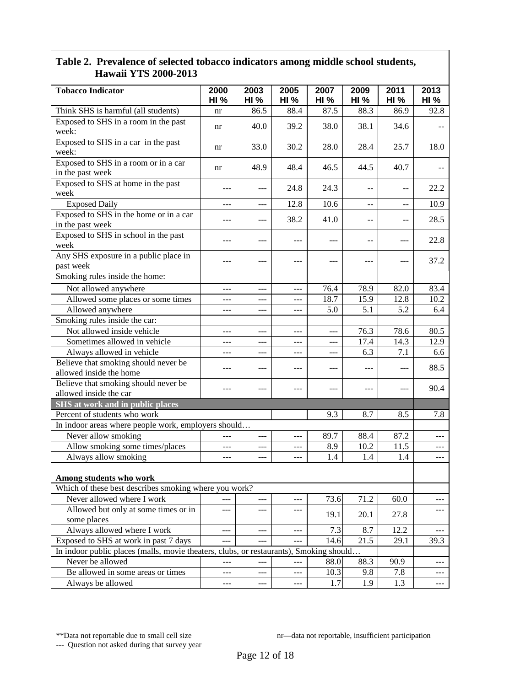| <b>Tobacco Indicator</b>                                                               | 2000<br><b>HI %</b> | 2003<br><b>HI %</b> | 2005<br><b>HI %</b> | 2007<br><b>HI %</b> | 2009<br><b>HI %</b> | 2011<br><b>HI %</b> | 2013<br>HI%         |
|----------------------------------------------------------------------------------------|---------------------|---------------------|---------------------|---------------------|---------------------|---------------------|---------------------|
| Think SHS is harmful (all students)                                                    | nr                  | 86.5                | 88.4                | 87.5                | 88.3                | 86.9                | 92.8                |
| Exposed to SHS in a room in the past<br>week:                                          | nr                  | 40.0                | 39.2                | 38.0                | 38.1                | 34.6                |                     |
| Exposed to SHS in a car in the past<br>week:                                           | nr                  | 33.0                | 30.2                | 28.0                | 28.4                | 25.7                | 18.0                |
| Exposed to SHS in a room or in a car<br>in the past week                               | nr                  | 48.9                | 48.4                | 46.5                | 44.5                | 40.7                |                     |
| Exposed to SHS at home in the past<br>week                                             |                     | ---                 | 24.8                | 24.3                | --                  | --                  | 22.2                |
| <b>Exposed Daily</b>                                                                   | ---                 | ---                 | 12.8                | 10.6                | $-$                 | $-$                 | 10.9                |
| Exposed to SHS in the home or in a car<br>in the past week                             | ---                 | ---                 | 38.2                | 41.0                | --                  |                     | 28.5                |
| Exposed to SHS in school in the past<br>week                                           | ---                 | ---                 | ---                 | ---                 | --                  | ---                 | 22.8                |
| Any SHS exposure in a public place in<br>past week                                     | ---                 | $---$               | ---                 | ---                 | $---$               | ---                 | 37.2                |
| Smoking rules inside the home:                                                         |                     |                     |                     |                     |                     |                     |                     |
| Not allowed anywhere                                                                   | ---                 | $---$               | ---                 | 76.4                | 78.9                | 82.0                | 83.4                |
| Allowed some places or some times                                                      | ---                 |                     |                     | 18.7                | 15.9                | 12.8                | 10.2                |
| Allowed anywhere                                                                       | ---                 | $ -$                | ---                 | 5.0                 | 5.1                 | 5.2                 | 6.4                 |
| Smoking rules inside the car:                                                          |                     |                     |                     |                     |                     |                     |                     |
| Not allowed inside vehicle                                                             | ---                 | ---                 | ---                 | ---                 | 76.3                | 78.6                | 80.5                |
| Sometimes allowed in vehicle                                                           | ---                 |                     |                     | ---                 | 17.4                | 14.3                | 12.9                |
| Always allowed in vehicle                                                              |                     |                     |                     | ---                 | 6.3                 | 7.1                 | 6.6                 |
| Believe that smoking should never be<br>allowed inside the home                        |                     | $---$               | ---                 |                     |                     |                     | 88.5                |
| Believe that smoking should never be<br>allowed inside the car                         | ---                 | $---$               | ---                 | ---                 | $---$               | ---                 | 90.4                |
| <b>SHS</b> at work and in public places                                                |                     |                     |                     |                     |                     |                     |                     |
| Percent of students who work                                                           |                     |                     |                     | 9.3                 | 8.7                 | 8.5                 | 7.8                 |
| In indoor areas where people work, employers should                                    |                     |                     |                     |                     |                     |                     |                     |
| Never allow smoking                                                                    | ---                 | ---                 | ---                 | 89.7                | 88.4                | 87.2                |                     |
| Allow smoking some times/places                                                        | ---                 | ---                 |                     | 8.9                 | 10.2                | 11.5                |                     |
| Always allow smoking                                                                   | ---                 | ---                 |                     | 1.4                 | 1.4                 | 1.4                 | ---                 |
| Among students who work                                                                |                     |                     |                     |                     |                     |                     |                     |
| Which of these best describes smoking where you work?                                  |                     |                     |                     |                     |                     |                     |                     |
| Never allowed where I work                                                             | ---                 | ---                 | $---$               | 73.6                | 71.2                | 60.0                | ---                 |
| Allowed but only at some times or in<br>some places                                    | $---$               | ---                 | ---                 | 19.1                | 20.1                | 27.8                |                     |
| Always allowed where I work                                                            | $---$               | $---$               | $---$               | 7.3                 | 8.7                 | 12.2                |                     |
| Exposed to SHS at work in past 7 days                                                  |                     | $---$               |                     | 14.6                | 21.5                | 29.1                | 39.3                |
| In indoor public places (malls, movie theaters, clubs, or restaurants), Smoking should |                     |                     |                     |                     |                     |                     |                     |
| Never be allowed                                                                       | $---$               | ---                 | $---$               | 88.0                | 88.3                | 90.9                | $\qquad \qquad - -$ |
| Be allowed in some areas or times                                                      | $---$               | $---$               | ---                 | 10.3                | 9.8                 | 7.8                 | $---$               |
| Always be allowed                                                                      | $\qquad \qquad - -$ | $\cdots$            | $\qquad \qquad - -$ | 1.7                 | 1.9                 | 1.3                 | $\frac{1}{2}$       |

\*\*Data not reportable due to small cell size<br>--- Question not asked during that survey year

nr—data not reportable, insufficient participation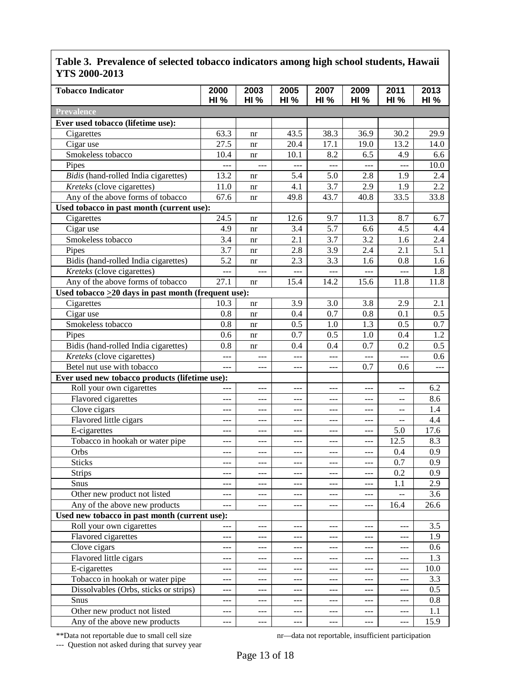| <b>Tobacco Indicator</b>                                  | 2000<br><b>HI %</b> | 2003<br>HI% | 2005<br><b>HI %</b> | 2007<br>HI%    | 2009<br><b>HI %</b> | 2011<br><b>HI %</b> | 2013<br><b>HI %</b> |
|-----------------------------------------------------------|---------------------|-------------|---------------------|----------------|---------------------|---------------------|---------------------|
| <b>Prevalence</b>                                         |                     |             |                     |                |                     |                     |                     |
| Ever used tobacco (lifetime use):                         |                     |             |                     |                |                     |                     |                     |
| Cigarettes                                                | 63.3                | nr          | 43.5                | 38.3           | 36.9                | 30.2                | 29.9                |
| Cigar use                                                 | 27.5                | nr          | 20.4                | 17.1           | 19.0                | 13.2                | 14.0                |
| Smokeless tobacco                                         | 10.4                | nr          | 10.1                | 8.2            | 6.5                 | 4.9                 | 6.6                 |
| Pipes                                                     | ---                 | ---         | ---                 | ---            | $- - -$             | ---                 | 10.0                |
| Bidis (hand-rolled India cigarettes)                      | 13.2                | nr          | 5.4                 | 5.0            | 2.8                 | 1.9                 | 2.4                 |
| Kreteks (clove cigarettes)                                | 11.0                | nr          | 4.1                 | 3.7            | 2.9                 | 1.9                 | 2.2                 |
| Any of the above forms of tobacco                         | 67.6                | nr          | 49.8                | 43.7           | 40.8                | 33.5                | 33.8                |
| Used tobacco in past month (current use):                 |                     |             |                     |                |                     |                     |                     |
| Cigarettes                                                | 24.5                | nr          | 12.6                | 9.7            | 11.3                | 8.7                 | 6.7                 |
| Cigar use                                                 | 4.9                 | nr          | 3.4                 | 5.7            | 6.6                 | 4.5                 | 4.4                 |
| Smokeless tobacco                                         | 3.4                 | nr          | 2.1                 | 3.7            | 3.2                 | 1.6                 | 2.4                 |
| Pipes                                                     | 3.7                 | nr          | 2.8                 | 3.9            | 2.4                 | 2.1                 | 5.1                 |
| Bidis (hand-rolled India cigarettes)                      | 5.2                 | nr          | 2.3                 | 3.3            | 1.6                 | 0.8                 | 1.6                 |
| Kreteks (clove cigarettes)                                | $---$               | ---         | $---$               | $\overline{a}$ | $\overline{a}$      | $\overline{a}$      | 1.8                 |
| Any of the above forms of tobacco                         | 27.1                | nr          | 15.4                | 14.2           | 15.6                | 11.8                | 11.8                |
| Used tobacco $\geq$ 20 days in past month (frequent use): |                     |             |                     |                |                     |                     |                     |
| Cigarettes                                                | 10.3                | nr          | 3.9                 | 3.0            | 3.8                 | 2.9                 | 2.1                 |
| Cigar use                                                 | 0.8                 | nr          | 0.4                 | 0.7            | 0.8                 | 0.1                 | 0.5                 |
| Smokeless tobacco                                         | 0.8                 |             | 0.5                 | 1.0            | 1.3                 | 0.5                 | 0.7                 |
| Pipes                                                     | 0.6                 | nr          | 0.7                 | 0.5            | 1.0                 | 0.4                 | 1.2                 |
|                                                           | 0.8                 | nr          | 0.4                 | 0.4            | 0.7                 | 0.2                 | 0.5                 |
| Bidis (hand-rolled India cigarettes)                      |                     | nr          |                     |                |                     |                     | 0.6                 |
| Kreteks (clove cigarettes)<br>Betel nut use with tobacco  | $\overline{a}$      | ---         | ---                 | ---            | $ -$<br>0.7         | ---<br>0.6          |                     |
|                                                           | ---                 | ---         | $---$               | ---            |                     |                     | $---$               |
| Ever used new tobacco products (lifetime use):            |                     |             |                     |                |                     |                     |                     |
| Roll your own cigarettes                                  |                     | ---         | ---                 | ---            | $---$               |                     | 6.2                 |
| Flavored cigarettes                                       | ---                 | ---         | ---                 | ---            |                     |                     | 8.6                 |
| Clove cigars                                              | $---$               | $---$       | $---$               | ---            | $---$               | --                  | 1.4                 |
| Flavored little cigars                                    | ---                 | ---         | ---                 | ---            | $---$               | $-$                 | 4.4                 |
| E-cigarettes                                              | ---                 | $---$       | $---$               | $---$          | ---                 | 5.0                 | 17.6                |
| Tobacco in hookah or water pipe                           | $---$               | ---         | ---                 | ---            | $---$               | 12.5                | 8.3                 |
| Orbs                                                      | ---                 | ---         | ---                 | ---            | $---$               | 0.4                 | 0.9                 |
| <b>Sticks</b>                                             | $---$               | ---         | ---                 | ---            | $- - -$             | 0.7                 | 0.9                 |
| <b>Strips</b>                                             | $\qquad \qquad - -$ | ---         | $---$               | ---            | $\qquad \qquad -$   | 0.2                 | 0.9                 |
| Snus                                                      | ---                 | ---         | $---$               | ---            | $---$               | 1.1                 | 2.9                 |
| Other new product not listed                              | ---                 | ---         | ---                 | ---            | $---$               | --                  | 3.6                 |
| Any of the above new products                             | $---$               | ---         | ---                 | ---            | $\qquad \qquad -$   | 16.4                | 26.6                |
| Used new tobacco in past month (current use):             |                     |             |                     |                |                     |                     |                     |
| Roll your own cigarettes                                  | $---$               | ---         | $---$               | ---            | $-$                 | $---$               | 3.5                 |
| Flavored cigarettes                                       | $---$               | $---$       | $---$               | ---            | $---$               | $---$               | 1.9                 |
| Clove cigars                                              | $---$               | ---         | $---$               | ---            | $---$               | ---                 | 0.6                 |
| Flavored little cigars                                    | $---$               | ---         | $---$               | ---            | $---$               | ---                 | 1.3                 |
| E-cigarettes                                              | $---$               | ---         | ---                 | ---            | $---$               | ---                 | 10.0                |
| Tobacco in hookah or water pipe                           | $---$               | ---         | ---                 | ---            | $---$               | $---$               | 3.3                 |
| Dissolvables (Orbs, sticks or strips)                     | ---                 | ---         | $---$               | ---            | $- - -$             | ---                 | 0.5                 |
| Snus                                                      | ---                 | $---$       | ---                 | $\overline{a}$ | $---$               | $---$               | 0.8                 |
| Other new product not listed                              | $---$               | ---         | ---                 | ---            | $---$               | ---                 | 1.1                 |
| Any of the above new products                             | $---$               | ---         | ---                 | ---            | $\qquad \qquad -$   | $---$               | 15.9                |

--- Question not asked during that survey year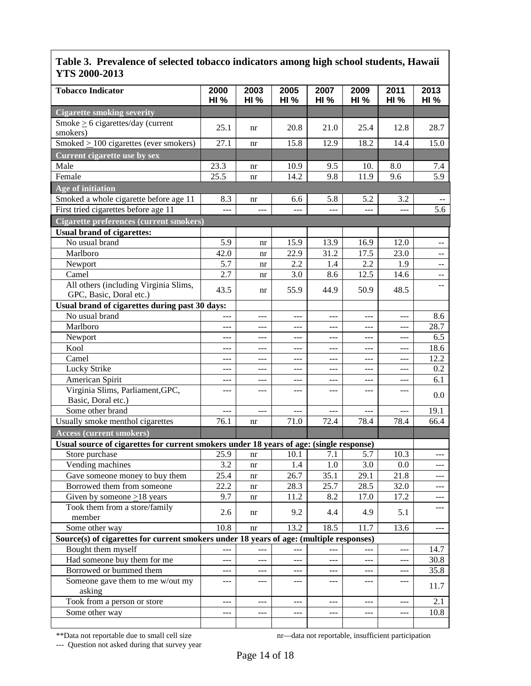| <b>Tobacco Indicator</b>                                                                | 2000<br><b>HI %</b> | 2003<br><b>HI %</b> | 2005<br><b>HI %</b> | 2007<br><b>HI %</b> | 2009<br><b>HI %</b> | 2011<br><b>HI %</b> | 2013<br><b>HI %</b>                    |
|-----------------------------------------------------------------------------------------|---------------------|---------------------|---------------------|---------------------|---------------------|---------------------|----------------------------------------|
| <b>Cigarette smoking severity</b>                                                       |                     |                     |                     |                     |                     |                     |                                        |
| Smoke $\geq 6$ cigarettes/day (current<br>smokers)                                      | 25.1                | nr                  | 20.8                | 21.0                | 25.4                | 12.8                | 28.7                                   |
| Smoked $\geq$ 100 cigarettes (ever smokers)                                             | 27.1                | nr                  | 15.8                | 12.9                | 18.2                | 14.4                | 15.0                                   |
| <b>Current cigarette use by sex</b>                                                     |                     |                     |                     |                     |                     |                     |                                        |
| Male                                                                                    | 23.3                |                     | 10.9                | 9.5                 | 10.                 | 8.0                 |                                        |
| Female                                                                                  | 25.5                | nr                  | 14.2                | 9.8                 | 11.9                | 9.6                 | 7.4<br>5.9                             |
|                                                                                         |                     | nr                  |                     |                     |                     |                     |                                        |
| Age of initiation                                                                       |                     |                     |                     |                     |                     |                     |                                        |
| Smoked a whole cigarette before age 11                                                  | 8.3                 | nr                  | 6.6                 | 5.8                 | 5.2                 | 3.2                 |                                        |
| First tried cigarettes before age 11                                                    | $\overline{a}$      | ---                 |                     | ---                 | $---$               | ---                 | 5.6                                    |
| <b>Cigarette preferences (current smokers)</b>                                          |                     |                     |                     |                     |                     |                     |                                        |
| <b>Usual brand of cigarettes:</b>                                                       |                     |                     |                     |                     |                     |                     |                                        |
| No usual brand                                                                          | 5.9                 | nr                  | 15.9                | 13.9                | 16.9                | 12.0                | $\overline{\phantom{a}}$               |
| Marlboro                                                                                | 42.0                | nr                  | 22.9                | 31.2                | 17.5                | 23.0                | $- -$                                  |
| Newport                                                                                 | 5.7                 | nr                  | 2.2                 | 1.4                 | 2.2                 | 1.9                 | $\overline{\phantom{a}}$               |
| Camel                                                                                   | 2.7                 | nr                  | 3.0                 | 8.6                 | 12.5                | 14.6                | $\overline{\phantom{a}}$               |
| All others (including Virginia Slims,<br>GPC, Basic, Doral etc.)                        | 43.5                | nr                  | 55.9                | 44.9                | 50.9                | 48.5                | --                                     |
| Usual brand of cigarettes during past 30 days:                                          |                     |                     |                     |                     |                     |                     |                                        |
| No usual brand                                                                          | $---$               | $---$               | ---                 | $---$               | $---$               | $- - -$             | 8.6                                    |
| Marlboro                                                                                | $---$               | ---                 | ---                 | $---$               | $---$               | ---                 | 28.7                                   |
| Newport                                                                                 | $---$               | ---                 | ---                 | $---$               | $---$               | ---                 | 6.5                                    |
| Kool                                                                                    | ---                 | ---                 | ---                 | $---$               | $---$               | $---$               | 18.6                                   |
| Camel                                                                                   | $---$               | ---                 | ---                 | $---$               | $---$               | ---                 | 12.2                                   |
| Lucky Strike                                                                            | $---$               | $---$               | ---                 | $---$               | $---$               | ---                 | 0.2                                    |
| American Spirit                                                                         | $---$               | $---$               | ---                 | $---$               | $---$               | ---                 | 6.1                                    |
| Virginia Slims, Parliament, GPC,                                                        | ---                 | ---                 | $---$               | ---                 | ---                 | $---$               |                                        |
| Basic, Doral etc.)                                                                      |                     |                     |                     |                     |                     |                     | 0.0                                    |
| Some other brand                                                                        | ---                 | ---                 | $ -$                | ---                 | $---$               | $---$               | 19.1                                   |
| Usually smoke menthol cigarettes                                                        | 76.1                | nr                  | 71.0                | 72.4                | 78.4                | 78.4                | 66.4                                   |
| <b>Access (current smokers)</b>                                                         |                     |                     |                     |                     |                     |                     |                                        |
| Usual source of cigarettes for current smokers under 18 years of age: (single response) |                     |                     |                     |                     |                     |                     |                                        |
| Store purchase                                                                          | 25.9                | nr                  | 10.1                | 7.1                 | 5.7                 | 10.3                |                                        |
| Vending machines                                                                        | 3.2                 | nr                  | 1.4                 | 1.0                 | 3.0                 | 0.0                 | $---$                                  |
| Gave someone money to buy them                                                          | 25.4                | nr                  | 26.7                | 35.1                | 29.1                | 21.8                | $---$                                  |
| Borrowed them from someone                                                              | 22.2                | nr                  | 28.3                | 25.7                | 28.5                | 32.0                | ---                                    |
| Given by someone $\geq$ 18 years                                                        | 9.7                 | nr                  | 11.2                | 8.2                 | 17.0                | 17.2                | ---                                    |
| Took them from a store/family                                                           |                     |                     |                     |                     |                     |                     | ---                                    |
| member                                                                                  | 2.6                 | nr                  | 9.2                 | 4.4                 | 4.9                 | 5.1                 |                                        |
| Some other way                                                                          | 10.8                | nr                  | 13.2                | 18.5                | 11.7                | 13.6                | $\scriptstyle\cdots\scriptstyle\cdots$ |
| Source(s) of cigarettes for current smokers under 18 years of age: (multiple responses) |                     |                     |                     |                     |                     |                     |                                        |
| Bought them myself                                                                      |                     |                     |                     | ---                 |                     | ---                 | 14.7                                   |
| Had someone buy them for me                                                             | $---$               | ---                 | $---$               | $\qquad \qquad - -$ | $\frac{1}{2}$       | $- - -$             | 30.8                                   |
| Borrowed or bummed them                                                                 | $---$               | ---                 | ---                 | ---                 | $---$               | $---$               | 35.8                                   |
| Someone gave them to me w/out my                                                        | ---                 | ---                 | ---                 | ---                 | ---                 | ---                 | 11.7                                   |
| asking                                                                                  |                     |                     |                     |                     |                     |                     |                                        |
| Took from a person or store                                                             | $---$               | ---                 | $---$               | ---                 | $-$                 | ---                 | 2.1                                    |
| Some other way                                                                          | $---$               | ---                 | $---$               | ---                 | $-$                 | $- - -$             | 10.8                                   |
|                                                                                         |                     |                     |                     |                     |                     |                     |                                        |

--- Question not asked during that survey year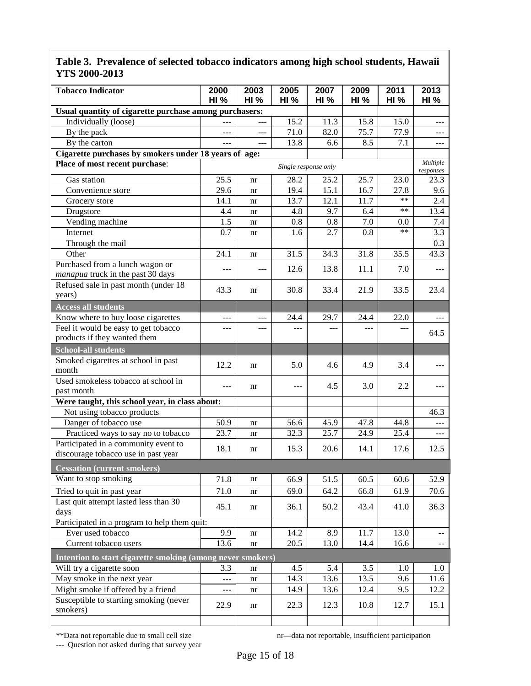| <b>Tobacco Indicator</b>                                                    | 2000<br><b>HI %</b> | 2003<br><b>HI %</b> | 2005<br><b>HI</b> % | 2007<br><b>HI %</b>  | 2009<br><b>HI %</b> | 2011<br><b>HI %</b> | 2013<br><b>HI</b> %   |
|-----------------------------------------------------------------------------|---------------------|---------------------|---------------------|----------------------|---------------------|---------------------|-----------------------|
| Usual quantity of cigarette purchase among purchasers:                      |                     |                     |                     |                      |                     |                     |                       |
| Individually (loose)                                                        | ---                 | ---                 | 15.2                | 11.3                 | 15.8                | 15.0                | ---                   |
| By the pack                                                                 | $---$               | ---                 | 71.0                | 82.0                 | 75.7                | 77.9                | $\cdots$              |
| By the carton                                                               | $---$               | ---                 | 13.8                | 6.6                  | 8.5                 | 7.1                 | ---                   |
| Cigarette purchases by smokers under 18 years of age:                       |                     |                     |                     |                      |                     |                     |                       |
| Place of most recent purchase:                                              |                     |                     |                     | Single response only |                     |                     | Multiple<br>responses |
| Gas station                                                                 | 25.5                | nr                  | 28.2                | 25.2                 | 25.7                | 23.0                | 23.3                  |
| Convenience store                                                           | 29.6                | nr                  | 19.4                | 15.1                 | 16.7                | 27.8                | 9.6                   |
| Grocery store                                                               | 14.1                | nr                  | 13.7                | 12.1                 | 11.7                | $**$                | 2.4                   |
| Drugstore                                                                   | 4.4                 | nr                  | 4.8                 | 9.7                  | 6.4                 | $**$                | 13.4                  |
| Vending machine                                                             | 1.5                 | nr                  | 0.8                 | 0.8                  | 7.0                 | 0.0                 | 7.4                   |
| Internet                                                                    | 0.7                 | nr                  | 1.6                 | 2.7                  | 0.8                 | $**$                | 3.3                   |
| Through the mail                                                            |                     |                     |                     |                      |                     |                     | 0.3                   |
| Other                                                                       | 24.1                | nr                  | 31.5                | 34.3                 | 31.8                | 35.5                | 43.3                  |
| Purchased from a lunch wagon or<br>manapua truck in the past 30 days        | $\qquad \qquad - -$ |                     | 12.6                | 13.8                 | 11.1                | 7.0                 | ---                   |
| Refused sale in past month (under 18                                        | 43.3                | nr                  | 30.8                | 33.4                 | 21.9                | 33.5                | 23.4                  |
| years)<br><b>Access all students</b>                                        |                     |                     |                     |                      |                     |                     |                       |
| Know where to buy loose cigarettes                                          |                     |                     | 24.4                | 29.7                 | 24.4                | 22.0                |                       |
| Feel it would be easy to get tobacco                                        | $\frac{1}{2}$       | ---                 | ---                 | ---                  | ---                 | ---                 |                       |
| products if they wanted them                                                |                     |                     |                     |                      |                     |                     | 64.5                  |
| <b>School-all students</b>                                                  |                     |                     |                     |                      |                     |                     |                       |
| Smoked cigarettes at school in past                                         | 12.2                | nr                  | 5.0                 | 4.6                  | 4.9                 | 3.4                 |                       |
| month                                                                       |                     |                     |                     |                      |                     |                     |                       |
| Used smokeless tobacco at school in                                         | $\qquad \qquad - -$ | nr                  | ---                 | 4.5                  | 3.0                 | 2.2                 |                       |
| past month                                                                  |                     |                     |                     |                      |                     |                     |                       |
| Were taught, this school year, in class about:                              |                     |                     |                     |                      |                     |                     |                       |
| Not using tobacco products                                                  |                     |                     |                     |                      |                     |                     | 46.3                  |
| Danger of tobacco use                                                       | 50.9                | nr                  | 56.6                | 45.9                 | 47.8                | 44.8                | ---                   |
| Practiced ways to say no to tobacco                                         | 23.7                | nr                  | 32.3                | 25.7                 | 24.9                | 25.4                | ---                   |
| Participated in a community event to<br>discourage tobacco use in past year | 18.1                | nr                  | 15.3                | 20.6                 | 14.1                | 17.6                | 12.5                  |
| <b>Cessation (current smokers)</b>                                          |                     |                     |                     |                      |                     |                     |                       |
| Want to stop smoking                                                        | 71.8                | nr                  | 66.9                | 51.5                 | 60.5                | 60.6                | 52.9                  |
| Tried to quit in past year                                                  | 71.0                | nr                  | 69.0                | 64.2                 | 66.8                | 61.9                | 70.6                  |
| Last quit attempt lasted less than 30                                       |                     |                     |                     |                      |                     |                     |                       |
| days                                                                        | 45.1                | nr                  | 36.1                | 50.2                 | 43.4                | 41.0                | 36.3                  |
| Participated in a program to help them quit:                                |                     |                     |                     |                      |                     |                     |                       |
| Ever used tobacco                                                           | 9.9                 | nr                  | 14.2                | 8.9                  | 11.7                | 13.0                |                       |
| Current tobacco users                                                       | 13.6                | nr                  | 20.5                | 13.0                 | 14.4                | 16.6                | --                    |
| Intention to start cigarette smoking (among never smokers)                  |                     |                     |                     |                      |                     |                     |                       |
| Will try a cigarette soon                                                   | 3.3                 | nr                  | 4.5                 | 5.4                  | 3.5                 | 1.0                 | 1.0                   |
| May smoke in the next year                                                  | ---                 | nr                  | 14.3                | 13.6                 | 13.5                | 9.6                 | 11.6                  |
| Might smoke if offered by a friend                                          | ---                 | nr                  | 14.9                | 13.6                 | 12.4                | 9.5                 | 12.2                  |
| Susceptible to starting smoking (never<br>smokers)                          | 22.9                | nr                  | 22.3                | 12.3                 | 10.8                | 12.7                | 15.1                  |
|                                                                             |                     |                     |                     |                      |                     |                     |                       |

--- Question not asked during that survey year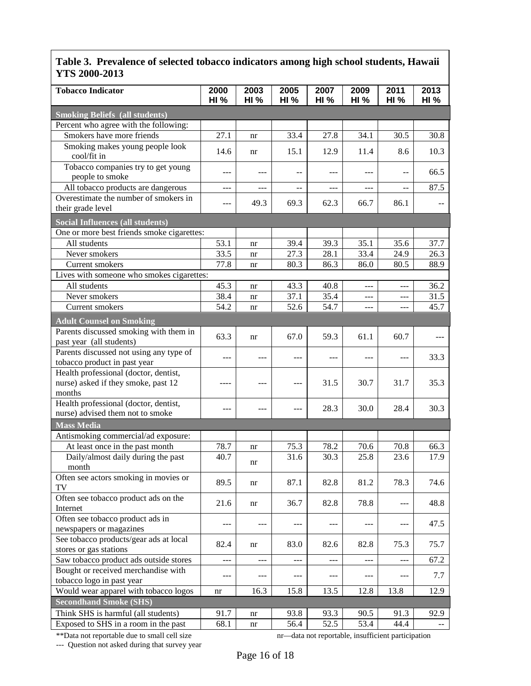| <b>Tobacco Indicator</b>                              | 2000<br><b>HI %</b> | 2003<br><b>HI %</b> | 2005<br>HI% | 2007<br><b>HI %</b> | 2009<br><b>HI %</b> | 2011<br><b>HI %</b> | 2013<br><b>HI %</b> |
|-------------------------------------------------------|---------------------|---------------------|-------------|---------------------|---------------------|---------------------|---------------------|
| <b>Smoking Beliefs (all students)</b>                 |                     |                     |             |                     |                     |                     |                     |
| Percent who agree with the following:                 |                     |                     |             |                     |                     |                     |                     |
| Smokers have more friends                             | 27.1                | nr                  | 33.4        | 27.8                | 34.1                | 30.5                | 30.8                |
| Smoking makes young people look                       |                     |                     |             |                     |                     |                     |                     |
| cool/fit in                                           | 14.6                | nr                  | 15.1        | 12.9                | 11.4                | 8.6                 | 10.3                |
| Tobacco companies try to get young<br>people to smoke | $---$               | ---                 | --          | ---                 | $---$               | --                  | 66.5                |
| All tobacco products are dangerous                    | $---$               | ---                 |             | ---                 | $---$               | --                  | 87.5                |
| Overestimate the number of smokers in                 |                     | 49.3                | 69.3        | 62.3                |                     |                     |                     |
| their grade level                                     | ---                 |                     |             |                     | 66.7                | 86.1                |                     |
| <b>Social Influences (all students)</b>               |                     |                     |             |                     |                     |                     |                     |
| One or more best friends smoke cigarettes:            |                     |                     |             |                     |                     |                     |                     |
| All students                                          | 53.1                | nr                  | 39.4        | 39.3                | 35.1                | 35.6                | 37.7                |
| Never smokers                                         | 33.5                | nr                  | 27.3        | 28.1                | 33.4                | 24.9                | 26.3                |
| Current smokers                                       | 77.8                | nr                  | 80.3        | 86.3                | 86.0                | 80.5                | 88.9                |
| Lives with someone who smokes cigarettes:             |                     |                     |             |                     |                     |                     |                     |
| All students                                          | 45.3                | nr                  | 43.3        | 40.8                | $\overline{a}$      | $-$ --              | 36.2                |
| Never smokers                                         | 38.4                | nr                  | 37.1        | 35.4                | $---$               | ---                 | 31.5                |
| Current smokers                                       | 54.2                | nr                  | 52.6        | 54.7                | $---$               | ---                 | 45.7                |
| <b>Adult Counsel on Smoking</b>                       |                     |                     |             |                     |                     |                     |                     |
| Parents discussed smoking with them in                |                     |                     |             |                     |                     |                     |                     |
| past year (all students)                              | 63.3                | nr                  | 67.0        | 59.3                | 61.1                | 60.7                |                     |
| Parents discussed not using any type of               |                     |                     |             |                     |                     |                     |                     |
| tobacco product in past year                          | $---$               | ---                 | ---         | ---                 | $---$               | ---                 | 33.3                |
| Health professional (doctor, dentist,                 |                     |                     |             |                     |                     |                     |                     |
| nurse) asked if they smoke, past 12                   | ----                | ---                 | ---         | 31.5                | 30.7                | 31.7                | 35.3                |
| months                                                |                     |                     |             |                     |                     |                     |                     |
| Health professional (doctor, dentist,                 | $---$               | ---                 |             | 28.3                | 30.0                | 28.4                | 30.3                |
| nurse) advised them not to smoke                      |                     |                     | $---$       |                     |                     |                     |                     |
| <b>Mass Media</b>                                     |                     |                     |             |                     |                     |                     |                     |
| Antismoking commercial/ad exposure:                   |                     |                     |             |                     |                     |                     |                     |
| At least once in the past month                       | 78.7                | nr                  | 75.3        | 78.2                | 70.6                | 70.8                | 66.3                |
| Daily/almost daily during the past                    | 40.7                | nr                  | 31.6        | 30.3                | 25.8                | 23.6                | 17.9                |
| month                                                 |                     |                     |             |                     |                     |                     |                     |
| Often see actors smoking in movies or<br>TV           | 89.5                | nr                  | 87.1        | 82.8                | 81.2                | 78.3                | 74.6                |
| Often see tobacco product ads on the                  | 21.6                | nr                  | 36.7        | 82.8                | 78.8                | ---                 | 48.8                |
| Internet                                              |                     |                     |             |                     |                     |                     |                     |
| Often see tobacco product ads in                      | $---$               |                     | ---         | ---                 |                     | $---$               | 47.5                |
| newspapers or magazines                               |                     |                     |             |                     |                     |                     |                     |
| See tobacco products/gear ads at local                | 82.4                | nr                  | 83.0        | 82.6                | 82.8                | 75.3                | 75.7                |
| stores or gas stations                                |                     |                     |             |                     |                     |                     |                     |
| Saw tobacco product ads outside stores                | $\cdots$            | ---                 | ---         | ---                 | $\frac{1}{2}$       | $ -$                | 67.2                |
| Bought or received merchandise with                   | ---                 | ---                 | ---         | ---                 | $---$               | ---                 | 7.7                 |
| tobacco logo in past year                             |                     |                     |             |                     |                     |                     |                     |
| Would wear apparel with tobacco logos                 | nr                  | 16.3                | 15.8        | 13.5                | 12.8                | 13.8                | 12.9                |
| <b>Secondhand Smoke (SHS)</b>                         |                     |                     |             |                     |                     |                     |                     |
| Think SHS is harmful (all students)                   | 91.7                | nr                  | 93.8        | 93.3                | 90.5                | 91.3                | 92.9                |
| Exposed to SHS in a room in the past                  | 68.1                | nr                  | 56.4        | 52.5                | 53.4                | 44.4                |                     |

--- Question not asked during that survey year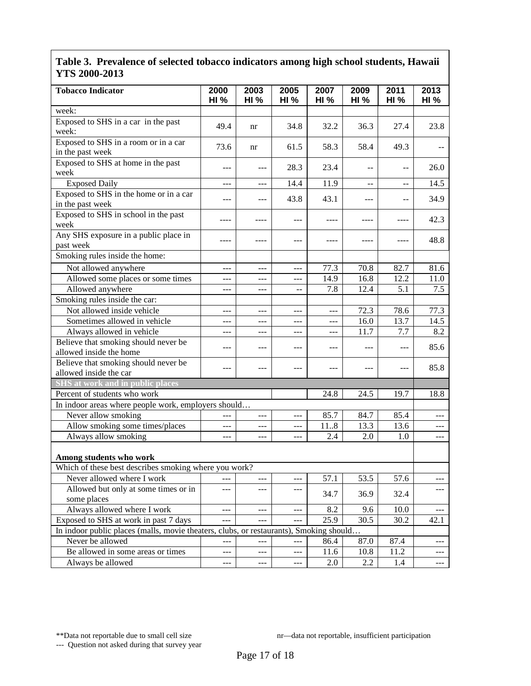| <b>Tobacco Indicator</b>                                                               | 2000<br><b>HI %</b> | 2003<br><b>HI %</b> | 2005<br><b>HI %</b> | 2007<br><b>HI %</b> | 2009<br><b>HI %</b> | 2011<br><b>HI %</b> | 2013<br><b>HI %</b> |
|----------------------------------------------------------------------------------------|---------------------|---------------------|---------------------|---------------------|---------------------|---------------------|---------------------|
| week:                                                                                  |                     |                     |                     |                     |                     |                     |                     |
| Exposed to SHS in a car in the past<br>week:                                           | 49.4                | nr                  | 34.8                | 32.2                | 36.3                | 27.4                | 23.8                |
| Exposed to SHS in a room or in a car<br>in the past week                               | 73.6                | nr                  | 61.5                | 58.3                | 58.4                | 49.3                |                     |
| Exposed to SHS at home in the past<br>week                                             | ---                 | $---$               | 28.3                | 23.4                | --                  | --                  | 26.0                |
| <b>Exposed Daily</b>                                                                   | ---                 | $---$               | 14.4                | 11.9                | --                  | $-$                 | 14.5                |
| Exposed to SHS in the home or in a car<br>in the past week                             | ---                 | ---                 | 43.8                | 43.1                | ---                 | --                  | 34.9                |
| Exposed to SHS in school in the past<br>week                                           | ----                | ----                | $---$               | $- - - -$           | ----                | ----                | 42.3                |
| Any SHS exposure in a public place in<br>past week                                     | ----                | ----                | $---$               | ----                | ----                | ----                | 48.8                |
| Smoking rules inside the home:                                                         |                     |                     |                     |                     |                     |                     |                     |
| Not allowed anywhere                                                                   | ---                 | $ -$                | $---$               | 77.3                | 70.8                | 82.7                | 81.6                |
| Allowed some places or some times                                                      | ---                 | $---$               | $---$               | 14.9                | 16.8                | 12.2                | 11.0                |
| Allowed anywhere                                                                       | $---$               | $---$               | $-$                 | 7.8                 | 12.4                | 5.1                 | 7.5                 |
| Smoking rules inside the car:                                                          |                     |                     |                     |                     |                     |                     |                     |
| Not allowed inside vehicle                                                             | ---                 | ---                 | ---                 | $---$               | 72.3                | 78.6                | 77.3                |
| Sometimes allowed in vehicle                                                           | ---                 | $---$               | $---$               | ---                 | 16.0                | 13.7                | 14.5                |
| Always allowed in vehicle                                                              | ---                 | $---$               | ---                 | $---$               | 11.7                | 7.7                 | 8.2                 |
| Believe that smoking should never be<br>allowed inside the home                        | ---                 | $---$               | ---                 | $---$               | ---                 | ---                 | 85.6                |
| Believe that smoking should never be<br>allowed inside the car                         | ---                 | ---                 | ---                 | $---$               | ---                 | ---                 | 85.8                |
| SHS at work and in public places                                                       |                     |                     |                     |                     |                     |                     |                     |
| Percent of students who work                                                           |                     |                     |                     | 24.8                | 24.5                | 19.7                | 18.8                |
| In indoor areas where people work, employers should                                    |                     |                     |                     |                     |                     |                     |                     |
| Never allow smoking                                                                    |                     | $---$               | ---                 | 85.7                | 84.7                | 85.4                |                     |
| Allow smoking some times/places                                                        | $---$               | ---                 | $---$               | 118                 | 13.3                | 13.6                |                     |
| Always allow smoking                                                                   | ---                 | $---$               | ---                 | 2.4                 | 2.0                 | 1.0                 | $\cdots$            |
| Among students who work                                                                |                     |                     |                     |                     |                     |                     |                     |
| Which of these best describes smoking where you work?                                  |                     |                     |                     |                     |                     |                     |                     |
| Never allowed where I work                                                             | $\overline{a}$      | ---                 | $---$               | 57.1                | 53.5                | 57.6                | $---$               |
| Allowed but only at some times or in<br>some places                                    | $---$               | ---                 | ---                 | 34.7                | 36.9                | 32.4                | ---                 |
| Always allowed where I work                                                            | $---$               | ---                 | ---                 | 8.2                 | 9.6                 | 10.0                |                     |
| Exposed to SHS at work in past 7 days                                                  |                     |                     |                     | 25.9                | 30.5                | 30.2                | 42.1                |
| In indoor public places (malls, movie theaters, clubs, or restaurants), Smoking should |                     |                     |                     |                     |                     |                     |                     |
| Never be allowed                                                                       | ---                 | $---$               | $ -$                | 86.4                | 87.0                | 87.4                |                     |
| Be allowed in some areas or times                                                      | ---                 | $---$               | ---                 | 11.6                | 10.8                | 11.2                | $---$               |
| Always be allowed                                                                      | ---                 | $\qquad \qquad -$   | ---                 | 2.0                 | 2.2                 | 1.4                 | $---$               |